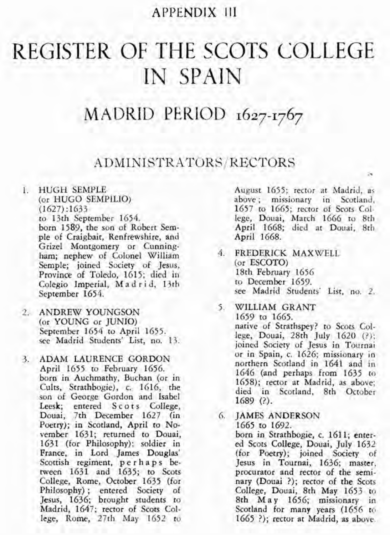# **APPENDIX I11**

# REGISTER OF THE SCOTS COLLEGE IN SPAIN

# MADRID PERIOD **1627-1767**

## ADMINISTRATORS /RECTORS

- 1. HUGH SEMPLE (or HUGO SEMPILIO)  $(1627):1633$ to 13th September 1654. born 1589, the son of Robert Semple of Craigbait, Renfrewshire, and Grizel Montgomery or Cunningham; nephew of Colonel William Semple; joined Society of Jesus, Province of Toledo, 1615; died in Colegio Imperial, M a d r i d, 13th September 1654.
- 2. ANDREW YOUNGSON (or YOUNG or JUNIO)<br>September 1654 to April 1655. see Madrid Students' List, no. 13.
- 3. ADAM LAURENCE GORDON April 1655 to February 1656. born in Auchmathy, Buchan (or in Cults, Strathbogie), c. 1616, the son of George Gordon and Isabel Leesk; entered Scots College, Douai, 7th December 1627 (in Poetry); in Scotland, April to November 1631; returned to Douai, 1631 (for Philosophy); soldier in France, in Lord James Douglas' Scottish regiment, perhaps between 1631 and 1635; to Scots College, Rome, October 1635 (for Philosophy) ; entered Society of Jesus, 1636; brought students to Madrid, 1647; rector of Scots College, Rome, 27th May 1652 to

August 1655; rector at Madrid, as above ; missionary in Scotland, 1657 to 1665; rector of Scots College, Douai, March 1666 to 8th April 1668; died at Douai, 8th April 1668.

**;r** 

- 4. **FREDERICK MAXWELL** (or ESCOTO) 18th February 1656<br>to December 1659. see Madrid Students' List, no. 2.
- 5. WILLIAM GRANT 1659 to 1665. native of Strathspey? to Scots College, Douai, 28th July 1620 (?); joined Society of Jesus in Tournai or in Spain, c. 1626; missionary in northern Scotland in 1641 and in 1646 (and perhaps from 1635 to 1658); rector at Madrid. as above: died in Scotland, 8th October 1689 (?).
- *6.*  JAMES ANDERSON 1665 to 1692. born in Strathbogie, c. 1611; entered Scots College, Douai, July 1632 (for Poetry); joined Society of Jesus in Tournai, 1636; master, procurator and rector of the seminary (Douai ?); rector of the Scots College, Douai, 8th May 1653 to 8th May 1656; missionary in Scotland for many years (1656 to 1665 ?); rector at Madrid, as above.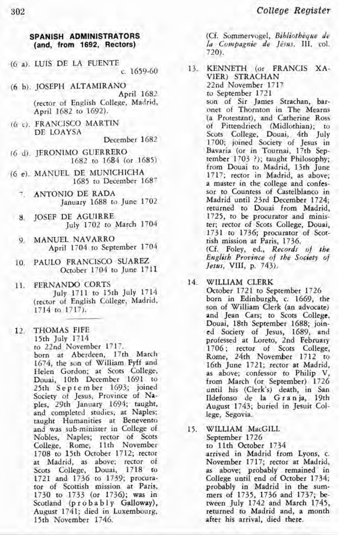#### **SPANISH ADMINISTRATORS (and, from 1692, Rectors)**

- (6 a). LUIS DE LA FUENTE c. 1659-60
- (6 b). JOSEPH ALTAMIRANO April 1682 (rector of English college; Madrid, April 1682 to 1692).
- (6 c). FRANCISCO MARTIN DE LOAYSA
	- December 1682
- (6 d). JERONIMO GUERRERO 1682 to 1684 (or 1685)
- (6 e). MANUEL DE MUNICHICHA 1685 to December 1687
	- ANTONIO DE RADA January 1688 to June 1702
	- 8. JOSEF DE AGUIRRE July 1702 to March 1704
	- 9. MANUEL NAVARRO April 1704 to September 1704
	- 10. PAULO FRANCISCO SUAREZ October 1704 to June 1711
	- 11. FERNANDO CORTS July 1711 to 15th July 1714 (rector of English College, Madrid, 1714 to 1717).
	- 12. THOMAS FIFE 15th July 1714 to 22nd November 1717. born at Aberdeen, 17th March 1674, the son of William Fyff and Helen Gordon; at Scots College, Douai, 10th December 1691 to 25th September 1693; joined Society of Jesus, Province of Naples, 29th January 1694; taught, and completed studies, at Naples; taught Humanities at Benevento and was sub-minister in College of Nobles, Naples; rector of Scots College, Rome, 11th November 1708 to 15th October 1712; rector at Madrid, as above; rector of Scots College, Douai, 1718 to 1721 and 1736 to 1739; procurator of Scottish mission at Paris, 1730 to 1733 (or 1736); was in Scotland (probably Galloway), August 1741; died in Luxembourg, 15th November 1746.

(Cf. Sommervogel, *Bibliothique de*  la Compagnie de Jésus, III, col. 720).

- 13. KENNETH (or FRANCIS XA-VIER) STRACHAN 22nd November 1717 to September 1721 son of Sir James Strachan, baronet of Thornton in The Mearns (a Protestant), and Catherine Ross of Pittendriech (Midlothian); to Scots College, Douai, 4th July 1700; joined Society of Jesus in Bavaria (or in Tournai, 17rh September 1703 ?); taught Philosophy; from Douai to Madrid, 13th June 1717; rector in Madrid, as above; a master in the college and confes
	- sor to Countess of Castelblanco in Madrid until 23rd December 1724; returned to Douai from Madrid, 1725, to be procurator and minister; rector of Scots College, Douai, 1731 to 1736; procurator of Scottish mission at Paris, 1736.

(Cf. Foley, ed., *Records of the English Province of the Society of Jesus,* VIII, p. 743).

#### 14. WILLIAM CLERK

October 1721 to September 1726 born in Edinburgh, c. 1669, the son of William Clerk (an advocate) and Jean Cars; to Scots College, Douai, 18th September 1688; joined Society of Jesus, 1689, and professed at Loreto, 2nd February 1706; rector of Scots College, Rome, 24th November 1712 to 16th June 1721; rector at Madrid, as above; confessor to Philip V, from March (or September) 1726 until his (Clerk's) death, in San Ildefonso de la G ran ja, 19th August 1743; buried in Jesuit College, Segovia.

15. WILLIAM MacGILL September 1726 to 11th October 1734 arrived in Madrid from Lyons, c. November 1717; rector at Madrid, as above; probably remained in College until end of October 1734; probably in Madrid in the summers of 1735, 1736 and 1737; between July 1742 and March 1745, returned to Madrid and, a month after his arrival, died there.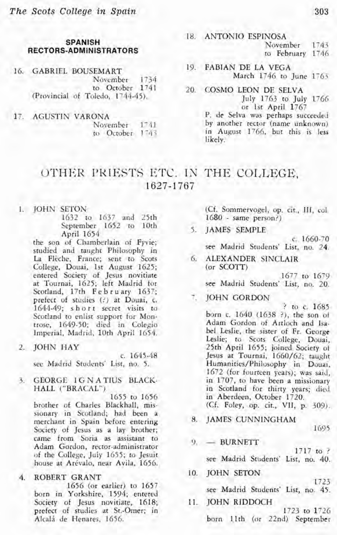#### **SPANISH RECTORS-ADMINISTRATORS**

16. GABRIEL BOUSEMART November 1734 to October 1741 (Provincial of Toledo, 1744-45).

17. AGUSTIN VARONA November 1741 to October 1743

#### 18. ANTONIO ESPINOSA

November 1743

to February 1746

- 19. FABIAN DE LA VEGA March 1746 to June 1763
- 20. COSMO LEON DE SELVA July 1763 to July 1766 or 1st April 1767

P. de Selva was perhaps succeeded by another rector (name unknown) in August 1766, but this is less likely.

# OTHER PRIESTS ETC. IN THE COLLEGE, **1627-** 1767

#### 1. JOHN SETON

1632 to 1637 and 25th September 1652 to 10th April 1654

the son of Chamberlain of Fyvie; studied and taught Philosophy in La Flèche, France; sent to Scots College, Douai. 1st August 1625; entered Society of Jesus novitiate at Tournai, 1625; left Madrid for Scotland, 17th February 1637; prefect of studies (?) at Douai, c.<br>1644-49; short secret visits to Scotland to enlist support for Montrose, 1649-50; died in Colegio Imperial, Madrid, 10th April 1654.

#### 2. JOHN HAY

c. 1645-48 see Madrid Students' List, no. 5.

3. GEORGE IGNATIUS BLACK-HALL ("BRACAL")

1655 to 1656 brother of Charles Blackhall, missionary in Scotland; had been a merchant in Spain before entering Society of Jesus as a lay brother; came from Soria as assistant to Adam Gordon, rector-administrator of the College, July 1655; to Jesuit house at Arévalo, near Avila, 1656.

### 4. ROBERT GRANT

1656 (or earlier) to 1657 born in Yorkshire, 1594; entered Society of Jesus novitiate, 1618; of studies at St.-Omer; in Alcalá de Henares, 1656.

(Cf. Sommervogel, op. cit., 111, col. 1680 - same person?)

5. JAMES SEMPLE

c. 1660-70 see Madrid Students' List, no. 24.

6. ALEXANDER SlNCLAIR (or SCOTT)

1677 to 1679 see Madrid Students' List, no. 20.

JOHN GORDON

? to c. 1685 born c. 1640 (1638 ?). the son of Adam Gordon of Artloch and Isabel Leslie, the sister of Fr. George Leslie; to Scots College, Douai, 25th April 1655; joined Society of Jesus at Tournai, 1660/62; taught Humanities/Philosophy in Douai, 1672 (for fourteen years); was said, in 1707, to have been a missionary in Scotland for thirty years; died in Aberdeen, October 1720. (Cf. Foley, op. cit., VII, p. 309).

8. JAMES CUNNINGHAM

1695

 $9. -<sub>BURNETT</sub>$ 

1717 to ?

see Madrid Students' List, no. 40.

#### lo. JOHN SETON

1723 see Madrid Students' List, no. 45.

11. TOHN RIDDOCH 1723 to 1726 born 11th (or 22nd) September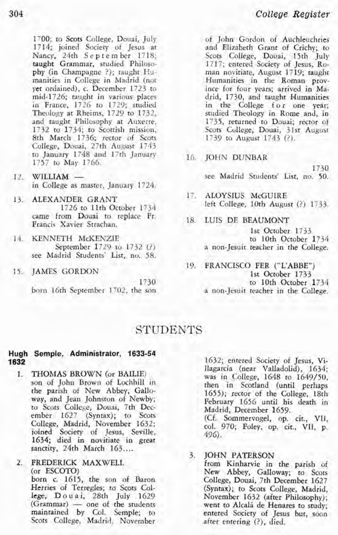1700; to Scots College, Douai, July 1714; joined Society of Jesus at Nancy, 24th September 1718; taught Grammar, studied Philosophy (in Champagne ?); taught Humanities in College in Madrid (not yet ordained), c. December 1723 to mid-1726; taught in various places in France, 1726 to 1729; studied Theology at Rheims, 1729 to 1732, and taught Philosophy at Auxerre, 1732 to 1734; to Scottish mission, 8th March 1736; rector of Scots College, Douai, 27th August 1743 to January 1748 and 17th January 1757 to May 1766.

- 12. WILLIAM in College as master, January 1724.
- 13. ALEXANDER GRANT 1726 to 11th October 1734 came from Douai to replace Fr. Francis Xavier Strachan.
- 14. KENNETH McKENZIE September 1729 to 1732 (?) see Madrid Students' List, no. 58.
	- 15. JAMES GORDON

1730 born 16th September 1702, the son of John Gordon of Auchleuchries and Elizabeth Grant of Crichy; to Scots College, Douai, 15th July 1717; entered Society of Jesus, Ro- man novitiate, August 1719; taught Humanities in the Roman province for four years; arrived in Madrid, 1730, and taught Humanities in the College for one year; studied Theology in Rome and, in 1735, returned to Douai; rector of Scots College, Douai, 31st August 1739 to August 1743 (?).

16. JOHN DUNBAR

1730 see Madrid Students' List, no. 50.

- 17. ALOYSIUS McGUIRE left College, 10th August (?) 1733.
- 18. LUIS DE BEAUMONT

1st October 1733<br>to 10th October 1734 a non-Jesuit teacher in the College.

19. FRANCISCO FER ("L'ABBE") 1st October 1733<br>to 10th October 1734 a non-Jesuit teacher in the College.

### **STUDENTS**

#### **Hugh Semple, Administrator, 1633-54 1632**

- 1. **THOMAS BROWN** (or BAILIE) son of John Brown of Lochhill in the parish of New Abbey, Galloway, and Jean Johnston of Newby; to Scots College, Douai, 7th December 1627 (Syntax); to Scots College, Madrid, November 1632; joined Society of Jesus, Seville, 1634; died in novitiate in great sanctity, 24th March 163....
- $\mathbf{2}$ FREDERICK MAXWELL (or ESCOTO)

born c. 1615, the son of Baron Herries of Terregles; to Scots College, Douai, 28th July 1629 Herries of Terregles; to Scots College, Douai, 28th July 1629<br>
(Grammar) — one of the students<br>
(Grammar) — one of the students maintained by Col. Semple; to Scots College, Madrid, November 1632; entered Society of Jesus, Villagarcia (near Valladolid), 1634; was in College, 1648 to 1649/50. then in Scotland (until perhaps 1655); rector of the College, 18th February 1656 until his death in Madrid, December 1659. (Cf. Sommervogel, op. cit., VII, col. 970; Foley, op. cit., VII, p. 496).

3. JOHN PATERSON

from Kinharvie in the parish of New Abbey, Galloway; to Scots College, Douai, 7th December 1627 (Syntax); to Scots College, Madrid, November 1632 (after Philosophy); went to Alcalá de Henares to study; entered Society of Jesus but, soon after entering (?), died.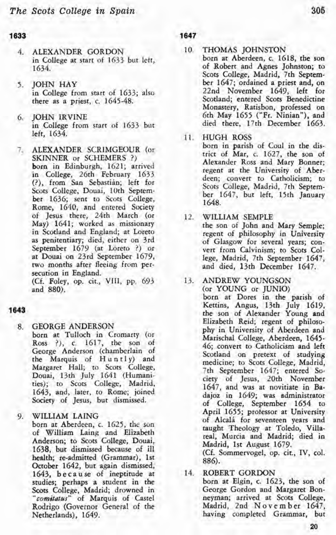#### 1633

- ALEXANDER GORDON in College at start of 1633 but left, 1634.
- 5. JOHN HAY in College from start of 1633; also there as a priest, c. 1645-48.
- **6. JOHN IRVINE** in College from start of 1633 but left, 1634.
- ALEXANDER SCRIMGEOUR (or  $7.$ SKINNER or SCHEMERS ?) born in Edinburgh, 1621; arrived in College, 26th February 1633 (?), from San Sebastián; left for Scots College, Douai, 10th September 1636; sent to Scots College, Rome, 1640, and entered Society of Jesus there, 24th March (or May) 1641; worked as missionary as penitentiary; died, either on 3rd September 1679 (at Loreto ?) or at Douai on 23rd September 1679, two months after fleeing from persecution in England.

(Cf. Foley, op. cit., VIII, pp. 693 and 880).

#### 1643

- GEORGE ANDERSON  $8<sub>1</sub>$ born at Tulloch in Cromarty (or Ross ?), c. 1617, the son of George Anderson (chamberlain of the Marquis of Huntly) and Margaret Hall; to Scots College, Douai, 13th July 1641 (Humanities); to Scots College, Madrid, 1643, and, later, to Rome; joined Society of Jesus, but dismissed.
- WILLIAM LAING 9.

born at Aberdeen, c. 1625, the son of William Laing and Elizabeth Anderson; to Scots College, Douai, 1638, but dismissed because of ill health; re-admitted (Grammar), 1st October 1642, but again dismissed, 1643, because of ineptitude at studies; perhaps a student in the Scots College, Madrid; drowned in *"comitacus"* of Marquis of Castel Rodrigo (Governor General of the Netherlands), 1649.

**1647** 

- 
- 10. THOMAS JOHNSTON<br>born at Aberdeen, c. 1618, the son of Robert and Agnes Johnston; to Scots College, Madrid, 7th Septem-<br>ber 1647; ordained a priest and, on 22nd November 1649, left for Scotland; entered Scots Benedictine<br>Monastery, Ratisbon, professed on 6th May 1655 ("Fr. Ninian"), and died there, 17th December 1663.
- 11. HUGH ROSS

born in parish of Coul in the district of Mar, c. 1627, the son of Alexander Ross and Mary Bonner; regent at the University of Aberdeen; convert to Catholicism; to Scots College, Madrid, 7th September 1647, but left, 15th January 1648.

12. WILLIAM SEMPLE the son of John and Mary Semple; regent of philosophy in University of Glasgow for several years; con vert from Calvinism; to Scots College, Madrid, 7th September 1647, and died, 13th December 1647.

13. ANDREW YOUNGSON (or YOUNG or TUNIO) born at Dores in the parish of Kettins, Angus, 13th July 1619, the son of Alexander Young and Elizabeth Reid; regent of philosophy in University of Aberdeen and Marischal College, Aberdeen, 1645- 46; convert to Catholicism and left Scotland on pretext of studying medicine; to Scots College, Madrid, 7th September 1647; entered Society of Jesus, 20th November 1647, and was at novitiate in Badajoz in 1649; was administrator of College, September 1654 to April 1655; professor at University of Alcalá for seventeen years and taught Theology at Toledo, Villareal, Murcia and Madrid; died in Madrid, 1st August 1679. (Cf. Sommervogel, op. cit., IV, col.

886).

14 ROBERT GORDON born at Elgin, c. 1623, the son of George Gordon and Margaret Bonneyman; arrived at Scots College. Madrid, 2nd November 1647, having completed Grammar, but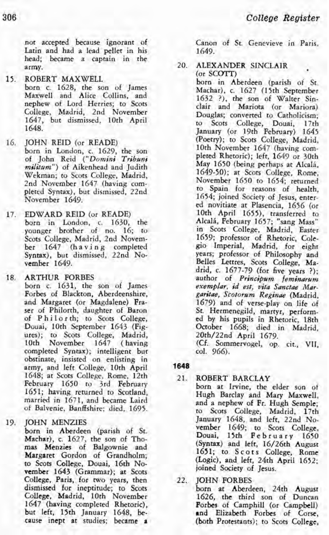not accepted because ignorant of Canon of St. Genevieve in Paris,<br>Latin and had a lead pellet in his 1649 Latin and had a lead pellet in his head; became a captain in the army.

15. ROBERT MAXWELL

born c. 1628, the son of James Maxwell and Alice Collins, and nephew of Lord Herries; to Scots College, Madrid, 2nd November 1647, but dismissed, 10th April 1648.

- 16. JOHN REID (or READE) born in London, c. 1629, the son of John Reid ("Domini Tribuni militum") of Aikenhead and Judith Wekman; to Scots College, Madrid, pleted Syntax), but dismissed, 22nd November 1649.
- 17. EDWARD REID (or READE) born in London, c. 1630, the younger brother of no. 16; to Scots College, Madrid, 2nd November 1647 (having completed Syntax), but dismissed, 22nd November 1649.
- 18. ARTHUR FORBES

born c. 1631, the son of James Forbes of Blackton, Aberdeenshire, and Margaret (or Magdalene) Fra ser of Philorth, daughter of Baron of Philorth; to Scots College, Douai, 10th September 1643 (Figures); to Scots College, Madrid,<br>10th November 1647 (having November completed Syntax); intelligent but obstinate, insisted on enlisting in army, and left College, 10th April 1648; at Scots College, Rome, 12th February 1650 to 3rd February 1651; having returned to Scotland, married in 1671, and became Laird of Balvenie, Banffshire; died, 1695.

19. JOHN MENZIES

born in Aberdeen (parish of St. Machar), c. 1627, the son of Tho- mas Menzies of Balgownie and Margaret Gordon of Grandholm; to Scots College, Douai, 16th November 1643 (Grammar); at Scots College, Paris, for rwo years, then dismissed for ineptitude; to Scots College, Madrid, 10th November 1647 (having completed Rhetoric), but left, 15th January 1648, beause inept at studies; became a

20. ALEXANDER SINCLAIR (or SCOTT)

born in Aberdeen (parish of St. Machar), c. 1627 (15th September 1632 ?), the son of Walter Sinclair and Mariota (or Mariora) Douglas; converted to Catholicism; to Scots College, Douai, January (or 19th February) 1645 (Poetry); to Scots College, Madrid,<br>10th November 1647 (having completed Rhetoric); left, 1649 or 30th May 1650 (being perhaps at Alcali, 1649-50); at Scots College, Rome, November 1650 to 1654; returned to Spain for reasons of health, 1654; joined Society of Jesus, entered novitiate at Plasencia, 1656 (or 10th April 1655), transferred to Alcalá, February 1657; "sang Mass" in Scots College, Madrid, Easter 1659; professor of Rhetoric, Colegio Imperial, Madrid, for eight years; professor of Philosophy and Belles Lettres, Scots College, Madrid, c. 1677-79 (for five years ?); author of Principum feminarum exemplar, **id** est, vita Sanctae Margasitae, Scotoram Reginae (Madrid, 1679) and of verse-play on life of St. Hermenegild, martyr, performed by his pupils in Rhetoric, 18th October 1668; died in Madrid, 20th/22nd April 1679.

(Cf. Sommervogel, op. cit., **VII,**  col. 966).

- **1648** 
	- 21. ROBERT BARCLAY born at Irvine, the elder son of Hugh Barclay and Mary Maxwell, and a nephew of Fr. Hugh Semple; to Scots College, Madrid, 17th January 1648, and left, 22nd November 1649; to Scots College, Douai, 15th February 1650 (Syntax) and left, 16/26th August 1651; to Scots College, Rome (Logic), and left, 24th April 1652; joined Society of Jesus.
	- 22. JOHN FORBES

born at Aberdeen, 24th August 1626, the third son of Duncan Forbes of Camphill (or Campbell) and Elizabeth Forbes of Corse, (both Protestants); to Scots College,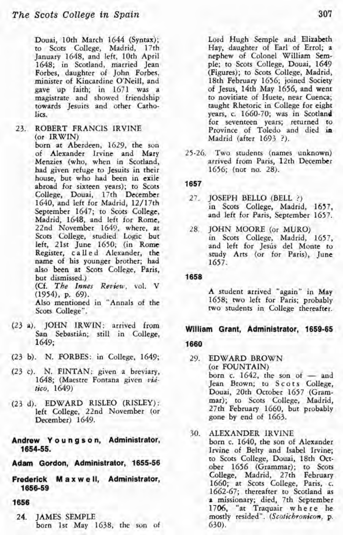Douai, 10th March 1644 (Syntax); to Scots College, Madrid, 17th January 1648, and left, 10th April 1648; in Scotland, married Jean Forbes, daughter of John Forbes, minister of Kincardine O'Neill, and gave up faith; in 1671 was a magistrate and showed friendship towards Jesuits and other Catholics.

23. ROBERT FRANCIS IRVINE (or IRWIN)<br>born at Aberdeen, 1629, the son

of Alexander Irvine and Mary Menzies (who, when in Scotland, had given refuge to Jesuits in their house, but who had been in exile abroad for sixteen years); to Scots College, Douai, 17th December 1640, and left for Madrid, 12/17th September 1647; to Scots College, Madrid, 1648, and left for Rome, 22nd November 1649, where, at Scots College, studied Logic but left, 21st June 1650; (in Rome Register, c a 11 e d Alexander, the name of his younger brother; had also been at Scots College, Paris, but dismissed.) (Cf. *The Innes* Review, vol. V  $(1954)$ , p. 69).

Also mentioned in "Annals of the Scots College".

- (23 a). JOHN IRWIN: arrived from San Sebastián; still in College, 1649;
- (23 b). N. FORBES: in College, 1649;
- (23 c). N. FINTAN: given a breviary, 1648; (Maestre Fontana given **via'** *tico,* 1649)
- (23 d). EDWARD RISLEO (RISLEY): left College, 22nd November (or December) 1649.
- **Andrew Y o u n g s o n, Administrator, 1654-55.**

**Adam Gordon, Administrator, 1655-56** 

- **Frederick M a x w e ll, Administrator, 1656-59**
- 1656
	- 24. IAMES SEMPLE born 1st May 1638, the son of

Lord Hugh Semple and Elizabeth Hay, daughter of Earl of Errol; a nephew of Colonel William Semple; to Scots College, Douai, 1649 (Figures); to Scots College, Madrid, 18th February 1656; joined Society of Jesus, 14th May 1656, and went to novitiate of Huete, near Cuenca; taught Rhetoric in College for eight years, c. 1660-70; was in Scotland for seventeen years; returned to Province of Toledo and died in Madrid (after 1693 ?).

25-26. Two students (names unknown) arrived from Paris, 12th December 1656; (not no. 28).

#### **1657**

- 27. JOSEPH BELLO (BELL ?) in Scots College, Madrid, 1637, and left for Paris, September 1657.
- 28. JOHN MOORE (or MURO) in Scots College, Madrid, 1657, and left for Jesús del Monte to study Arts (or for Paris), June 1657.

1658

A student arrived "again" in May 1658; two left for Paris; probably two students in College thereafter.

# **William Grant, Administrator, 1659-65**

- 1660
	- 29. EDWARD BROWN (or FOUNTAIN) born  $c. 1642$ , the son of  $-$  and Jean Brown; to Scots College, Douai, 20th October 1657 (Grammar); to Scots College, Madrid, 27th February 1660, but probably gone by end of 1663.
	- 30. ALEXANDER IRVINE born c. 1640, the son of Alexander Irvine of Belty and Isabel Irvine; to Scots College, Douai, 18th Ocrober 1656 (Grammar); to Scots College, Madrid, 27th February 1660; at Scots College, Paris, c.<br>1662-67; thereafter to Scotland as 2 missionary; died, 7th September 1706, "at Traquair where he mostly resided". *(Scotichronicon*, p. 630).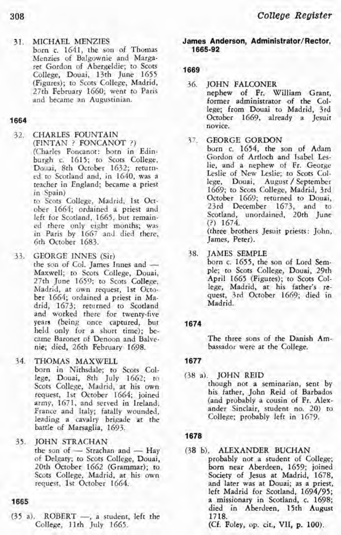#### **31. MICHAEL MENZIES**

born c. 1641, the son of Thomas Menzies of Balgownie and Margaret Gordon of Abergeldie; to Scots College, Douai, 13th June 1655 (Figures); to Scots College, Madrid, 27th February 1660; went to Paris and became an Augustinian.

#### 1664

32. CHARLES FOUNTAIN  $(FINTAN ? FONCANOT ?)$ (Charles Foncanot: born in Edinburgh c. 1615; to Scots College, Douai, 8th October 1632; returned to Scotland and, in 1640, was a teacher in England; became a priest in Spain)

to Scots College, Madrid, 1st October 1664; ordained a priest and left for Scotland, 1665, but remained there only eight months; was in Paris by 1667 and died there, 6th October 1683.

33. GEORGE INNES (Sir)<br>the son of Col. James Innes and -Maxwell; to Scots College, Douai, 27th June 1659; to Scots College, Madrid, at own request, 1st October 1664; ordained a priest in Madrid, 1673; returned to Scotland and worked there for twenty-five years (being once captured, but held only for a short time); became Baronet of Denoon and Balvenie; died, 26th February 1698.

34. THOMAS MAXWELL

born in Nithsdale; to Scots College, Douai, 8th July 1662; to Scots College, Madrid, at his own request, 1st October 1664; joined army, 1671, and served in Ireland, France and Italy; fatally wounded, leading a cavalry brigade at the battle of Marsaglia, 1693.

35. **JOHN STRACHAN** 

the son of  $-$  Strachan and  $-$  Hay of Delgaty; to Scots College, Douai, 20th October 1662 (Grammar); to Scots College, Madrid, at his own request, 1st October 1664.

#### 1665

 $(35 a)$ . ROBERT -, a student, left the College, 11th July 1665.

#### **James Anderson, Administrator/Rector, 1665-92**

#### 1669

- 36. **JOHN FALCONER** 
	- nephew of Fr. William Grant, former administrator of **the** College; from Douai to Madrid, 3rd October 1669, already a Jesuit novice.

#### 37. GEORGE GORDON

born c. 1654, the son of Adam Gordon of Artloch and Isabel Leslie, and a nephew of Fr. George Leslie of New Leslie; to Scots Col-<br>lege. Douai. August / September lege, Douai, August / September 1669; to Scots College, Madrid, 3rd October 1669; returned to Douai, 23rd December 1673, and to Scotland, unordained, 20th June (?) 1674.

(three brothers Jesuit priests: John, James, Peter).

38. **JAMES SEMPLE** 

born c. 1655, the son of Lord Semple; to Scots College, Douai, 29th April 1665 (Figures); to Scots College, Madrid, at his father's request, 3rd October 1669; died in Madrid.

#### 1674

The three sons of the Danish Ambassador were at the College.

#### 1677

(38 a). JOHN REID though not a seminarian, sent by his father, John Reid of Barbados (and probably a cousin of Fr. Alexander Sinclair, student no. 20) to College; probably left in 1679.

#### 1678

(38 b). ALEXANDER BUCHAN probably not a student of College; born near Aberdeen, 1659; joined Society of Jesus at Madrid, 1678, and later was at Douai; as a priest, left Madrid for Scotland, 1694/95; a missionary in Scotland, c. 1698; died in Aberdeen, 15th August 1718.

(Cf. Foley, op. cit., VII, p. 100).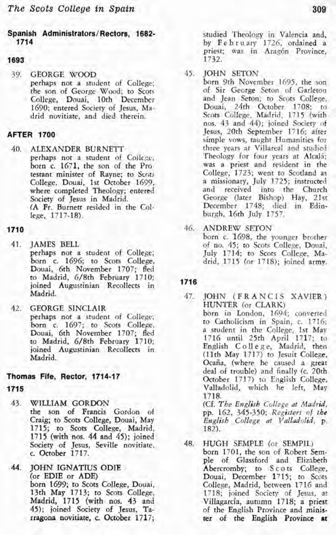#### **Spanish Administrators/Rectors, 1682- 1714**

#### 1693

39. GEORGE WOOD perhaps not a student of College; the son of George Wood; to Scots College, Douai, 10th December 1690; entered Society of Jesus, Madrid novitiate, and died therein.

#### **AFTER 1700**

40. ALEXANDER BURNETT perhaps not a student of College; born c. 1671, the son of the Pro. testant minister of Rayne; to Scots College, Douai, 1st October 1699, where completed Theology; entered Society of Jesus in Madrid. (A Fr. Burnett resided in the College, 1717-18).

#### **1710**

- 41. JAMES BELL perhaps not a student of College; born c. 1696; to Scots College, Douai, 6th November 1707; fled to Madrid, 6/8th February 1710; joined Augustinian Recollects in Madrid.
- 42. GEORGE SINCLAIR perhaps not a student of College; born c. 1697; to Scots College, Douai, 6th November 1707; fled to Madrid, 6/8th February 1710; joined Augustinian Recollects in Madrid.

#### **Thomas Fife, Rector, 1714-17**

#### **1715**

- 43. WILLIAM GORDON the son of Francis Gordon of Craig; to Scots College, Douai, May 1715; to Scots College, Madrid, 1715 (with nos. 44 and 45); joined Society of Jesus, Seville novitiate. c. October 1717.
- 44. JOHN IGNATIUS ODIE (or EDIE or ADE) born 1699; to Scots College, Douai, 13th May 1713; to Scots College, Madrid, 1715 (with nos. 43 and 45); joined Society of Jesus, Tarragona novitiate, c. October 1717;

studied Theology in Valencia and,<br>by February 1726, ordained a priest; was in Aragón Province, 1732.

- 
- 45. JOHN SETON<br>born 9th November 1695, the son of Sir George Seton of Garleton and Jean Seton; to Scots College, Douai, 24th October 1708; to Scots College, Madrid, 1715 (with nos. 43 and 44); joined Society of Jesus, 20th September 1716; after simple vows, taught Humanities for three years at Villareal and studied<br>Theology for four years at Alcalá; was a priest and resident in the College, 1723; went to Scotland as a missionary, July 1725; instructed and received into the Church George (later Bishop) Hay, 21st December 1748; died in Edinburgh, 16th July 1757.
- 46. ANDREW SETON born c. 1698, the younger brother of no. 45; to Scots College, Douai,

July 1714; to Scots College, Madrid, 1715 (or 1718); joined army.

#### **1716**

47. **JOHN (FRANCIS XAVIER)** HUNTER (or CLARK) born in London, 1694; converted to Catholicism in Spain, c. 1716; a student in the College, 1st May 1716 until 25th April 1717; to English College, Madrid, then (11th May 1717) to Jesuit College, Ocaña, (where he caused a great deal of trouble) and finally (c. 20th October 1717) to English College, Valladolid, which he left, May 1718. (Cf. The English College at Madrid,

pp. 162, 345-350; *Registers of the English* . *College at Vdladolid,* p. 182).

48. HUGH SEMPLE (or SEMPIL) born 1701, the son of Robert Semple of Glassford and Elizabeth Abercromby; to Scots College, Douai, December 1715; to Scots College, Madrid, between 1716 and 1718; joined Society of Jesus, at Villagarcia, autumn 17 18; a priest of the English Province and minis**ter** of the English Province **it**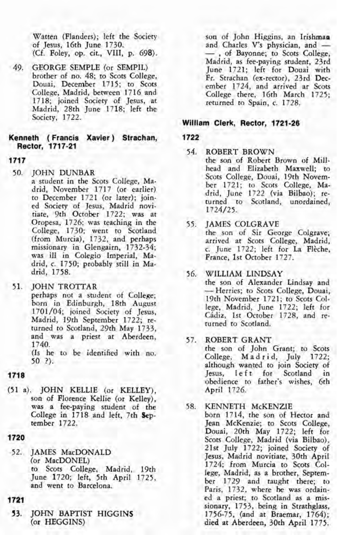Watten (Flanders); left the Society of Jesus, 16th June 1730. (Cf. Foley, op. cit., VIII, p. 698).

49. GEORGE SEMPLE (or SEMPIL) brother of no. 48; to Scots College, Douai, December 1715; to Scots College, Madrid, between 1716 and 1718; joined Society of Jesus, at Madrid, 28th June 1718; left the Society, 1722.

#### **Kenneth** ( **Francis Xavier** ) **Strachan, Rector, 1717-21**

- **1717** 
	-
	- 50. JOHN DUNBAR<br>a student in the Scots College, Madrid, November 1717 (or earlier) to December 1721 (or later); joined Society of Jesus, Madrid novitiate, 9th October 1722; was at Oropesa, 1726; was teaching in the College, 1730; went to Scotland (from Murcia), 1732, and perhaps missionary in Glengairn, 1732-34; was ill in Colegio Imperial, Madrid, c. 1750; probably still in Madrid, 1758.
	- 51. JOHN TROTTAR

perhaps not a student of College; born in Edinburgh, 18th August 1701/04; joined Society of Jesus, Madrid, 19th September 1722; re turned to Scotland, 29th May 1733, and was a priest at Aberdeen, 1740.

(Is he to be identified with no. 50 ?).

- **1718**
- (51 a). JOHN KELLIE (or KELLEY), son of Florence Kellie (or Kelley), was a fee-paying student of the College in 1718 and left, 7th **Sep**tember 1722.
- **1720**
- 52. IAMES MacDONALD (or MacDONEL) to Scots college, Madrid, 19th June 1720; left, 5th April 1725, and went to Barcelona.
- 1721
- **53. JOHN** BAPTIST HIGGINS (or HEGGINS)

son of John Higgins, an Irishman<br>and Charles V's physician, and --, of Bayonne; to Scots College, Madrid, as fee-paying student, 23rd June 1721; left for Douai with Fr. Strachan (ex-rector), 23rd December 1724, and arrived ar Scots College there, 16th March 1725; returned to Spain, c. 1728.

#### **Willlam Clerk, Rector, 1721-26**

#### 1722

- 54. ROBERT BROWN
	- the son of Robert Brown of Millhead and Elizabeth Maxwell; to Scots College, Douai, 19th November 1721; to Scots College, Madrid, June 1722 (via Bilbao); re turned to Scotland, unordained, 1724/25.
- 55. JAMES COLGRAVE the son of Sir George Colgrave;<br>arrived at Scots College, Madrid, c. June 1722; left for La Flèche, France, 1st October 1727.
- 56. WILLIAM LINDSAY<br>the son of Alexander Lindsay and - Herries; to Scots College, Douai, 19th November 1721; to Scots College, Madrid, June 1722; left for Cidiz, 1st October 1728, and re turned to Scotland.
- 57. ROBERT GRANT the son of John Grant; to Scots College, Madrid, July 1722; although wanted to join Society of Jesus, left for Scotland in obedience to father's wishes, 6th

April 1726.

58. KENNETH McKENZIE born 1714, the son of Hector and Jean McKenzie; to Scots College, Douai, 20th May 1722; left for Scots College, Madrid (via Bilbao), 21st July 1722; joined Society of Jesus, Madrid novitiate, 30th April 1724; from Murcia to Scots College, Madrid, as a brother, September 1729 and taught there; to Paris, 1732, where he was ordained a priest; to Scotland as a missionary, 1753, being in Strathglass, 1756-75, (and at Braemar, 1764); died at Aberdeen, 30th April 1775.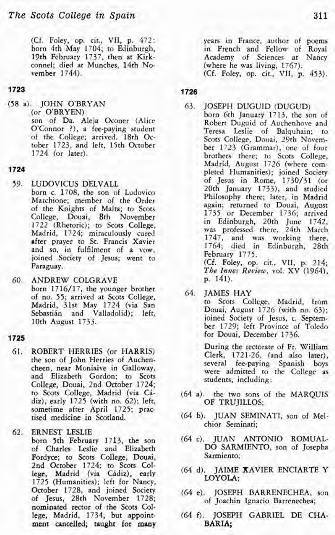(Cf. Foley, op. cit., VII, p. 472: born 4th May 1704; to Edinburgh, 19th February 1737, then at Kirkconnel; died at Munches, 14th November 1744).

#### 1723

(58 a). JOHN O'BRYAN son of Da. Aleja Oconer (Alice O'Connor ?), a fee-paying student of the College; arrived, 18th October 1723, and left, 15th October 1724 (or later).

#### **1724**

- 59. LUDOVICUS DELVALL born c. 1708, the son of Ludovico Marchione; member of the Order of the Knights of Malta; to Scots College, Douai, 8th November 1722 (Rhetoric); to Scots College, Madrid, 1724; miraculously cured after prayer to St. Francis Xavier and so, in fulfilment of a vow, joined Society of Jesus; went to Paraguay.
- 60. ANDREW COLGRAVE born 1716/17, the younger brother of no. 55; arrived at Scots College, Madrid, 31st May 1724 (via San Sebastián and Valladolid); left, 10th August 1733.

#### **1725**

61. ROBERT HERRIES (or HARRIS) the son of John Herries of Auchencheen, near Moniaive in Galloway, and Elizabeth Gordon; to Scots College, Douai, 2nd October 1724; to Scots College, Madrid (via *CI*diz), early 1725 (with no. 62); left, sometime after April 1725; practised medicine in Scotland.

62. ERNEST LESLIE<br>born 5th February 1713, the son of Charles Leslie and Elizabeth Fordyce; to Scots College, Douai, 2nd October 1724; to Scots College, Madrid (via Cádiz), early 1725 (Humanities); left for Nancy, October 1728, and joined Society of Jesus, 28th November 1728; nominated rector of the Scots College, Madrid, 1734, but appointment cancelled; taught for many years in France, author of poems in French and Fellow of Royal Academy of Sciences at Nancy (where he was living, 1767). (Cf. Foley, op. cit., VII, p. 453).

#### **1726**

- 63. JOSEPH DUGUID (DUGUD) born 6th January 1713, the son of Robert Duguid of Auchenhove and Teresa Leslie of Balquhain; to Scots College, Douai, 29th November 1723 (Grammar), one of four brothers there; to Scots College, Madrid, August 1726 (where com pleted Humanities); joined Society of Jesus in Rome, 1730/31 (or 20th January 1733), and studied Philosophy there; later, in Madrid again; returned to Douai, August 1735 or December 1736; arrived in Edinburgh, 20th June 1742, was professed there, 24th March 1747, and was working there, 1764; died in Edinburgh, 28th February 1775. (Cf. Foley, op. cit., VII, p. 214; *The lnnes Review,* vol. XV (1964),
- p. 141). 64. **JAMES HAY**

to Scots College, Madrid, from Douai, August 1726 (with no. 63); joined Society of Jesus, c. September 1729; left Province of Toledo for Douai, December 1736.

During the rectorate of Fr. William Clerk, 1721-26, (and also later), several fee-paying Spanish boys were admitted to the College as students, including:

- (64 a). the two sons of the MARQUIS OF TRUJILLOS;
- (64 b). JUAN SEMINATI, son of Melchior Seminati;
- (64 c). JUAN ANTONIO ROMUAL-DO SARMIENTO, son of Josepha Sarrniento;
- (64 d). JAIME XAVIER ENCIARTE Y LOYOLA;
- (64 e). JOSEPH BARRENECHEA, son of Joachin Ignacio Barrenechea;
- (64 **f).** JOSEPH GABRIEL DE **CHA-**BARIA,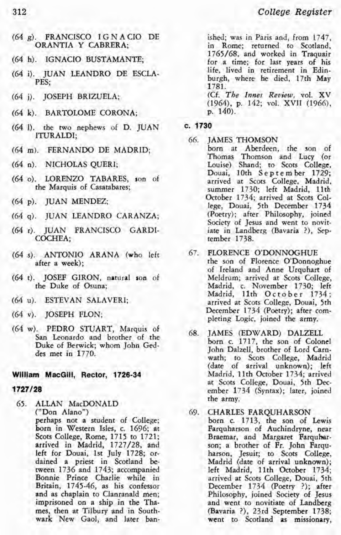- (64 g). FRANCISCO I G N A CIO DE ORANTIA Y CABRERA;
- (64 h). IGNACIO BUSTAMANTE;
- (64 i). JUAN LEANDRO DE ESCLA-PES;
- (64 j). JOSEPH BRIZUELA:
- (64 k). BARTOLOME CORONA;
- (64 1). the two nephews of D. JUAN ITURALDI;
- (64 m). FERNANDO DE MADRID;
- (64 n). NICHOLAS QUERI;
- (64 0). LORENZO TABARES, son of the Marquis of Casatabares;
- (64 p). JUAN MENDEZ;
- (64 q). JUAN LEANDRO CARANZA;
- (64 r). JUAN FRANCISCO GARDI-COCHEA;
- (64 s). ANTONIO ARANA (who left after a week);
- (64 t). JOSEF GIRON, natural son of the Duke of Osuna;
- (64 u). ESTEVAN SALAVERI;
- (64 v). JOSEPH FLON;
- (64 w). PEDRO STUART, Marquis of San Leonardo and brother of the Duke of Berwick; whom John Geddes met in 1770.

#### **William MacGilI, Rector, 1726-34**

#### **1727/28**

65. ALLAN MacDONALD ("Don Alano") perhaps not a student of College; born in Western Isles, c. 1696; at Scots College, Rome, 1715 to 1721; arrived in Madrid, 1727/28, and left for Douai, 1st July 1728; or dained a priest in Scotland between 1736 and 1743; accompanied Bonnie Prince Charlie while in Britain, 1745-46, as his confessor and as chaplain to Clanranald men; imprisoned on a ship in the Thames, then at Tilbury and in Southwark New Gaol, and later banished; was in Paris and, from 1747, in Rome; returned to Scotland, 1765/68, and worked in Traquair for a time; for last years of his life, lived in retirement in Edinburgh, where he died, 17th May 1781.

(Cf. The Innes Review, vol. XV (1964), p. 142; vol. XVII (1966), p. 140).

- **c. 1730**
- 66. **JAMES THOMSON** 
	- born at Aberdeen, the son of Thomas Thomson and Lucy (or Louise) Shand; to Scots College, Douai, 10th September 1729; summer 1730; left Madrid, 11th October 1734; arrived at Scots College, Douai, 5th December 1734 (Poetry); after Philosophy, joined Society of Jesus and went to novitiate in Landberg (Bavaria ?), September 1738.
- 67. FLORENCE O'DONNOGHUE the son of Florence O'Donnoghue of Ireland and Anne Urquhart of Meldrum; arrived at Scots College, Madrid, c. November 1730; left Madrid, 11th October 1734; arrived at Scots College, Douai, 5th December 1734 (Poetry); after com- pleting Logic, joined the army.
- 68. JAMES (EDWARD) DALZELL born c. 1717, the son of Colonel John Dalzell, brother of Lord Carnwath; to Scots College, Madrid (date of arrival unknown); left Madrid, llth October 1734; arrived at Scots College, Douai, 5th December 1734 (Syntax); later, joined the army.
- 69. CHARLES FARQUHARSON born c. 1713, the son of Lewis Farquharson of Auchindryne, near<br>Braemar, and Margaret Farquharson; a brother of Fr. John Farquharson, Jesuit; to Scots College, Madrid (date of arrival unknown); left Madrid, llth October 1734; arrived at Scots College, Douai, 5th December 1734 (Poetry ?); after Philosophy, joined Society of Jesus and went to novitiate of Landberg (Bavaria ?), 23rd September 1738; went to Scotland **as** missionary,